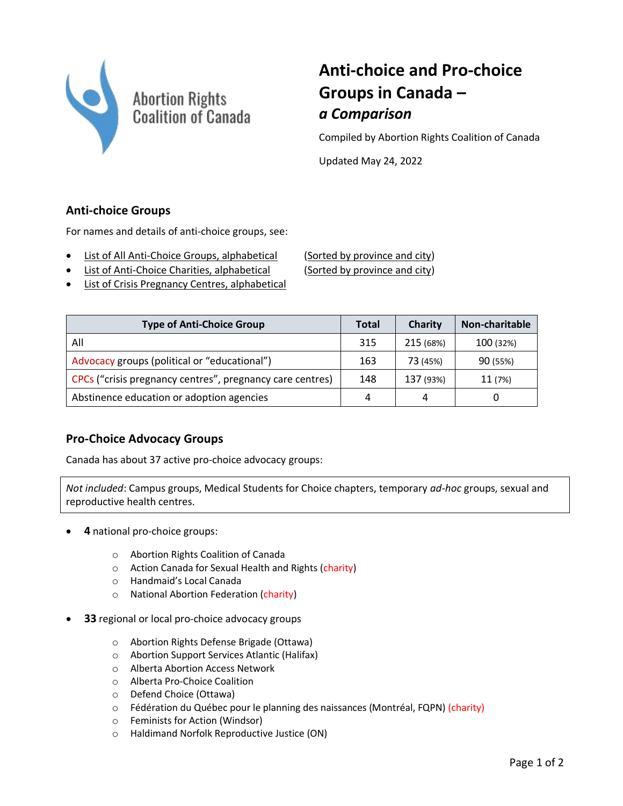

# **Anti-choice and Pro-choice Groups in Canada –** *a Comparison*

Compiled by Abortion Rights Coalition of Canada

Updated May 24, 2022

## **Anti-choice Groups**

For names and details of anti-choice groups, see:

- [List of All Anti-Choice Groups, alphabetical](https://www.arcc-cdac.ca/wp-content/uploads/2020/06/list-anti-choice-groups.pdf) [\(Sorted by province and city\)](https://www.arcc-cdac.ca/wp-content/uploads/2020/06/list-anti-choice-groups-province-city.pdf)
- [List of Anti-Choice Charities, alphabetical](https://www.arcc-cdac.ca/wp-content/uploads/2020/06/list-anti-choice-charities.pdf) [\(Sorted by province and city\)](https://www.arcc-cdac.ca/wp-content/uploads/2020/06/list-anti-choice-charities-province-city.pdf)

• [List of Crisis Pregnancy Centres, alphabetical](https://www.arcc-cdac.ca/wp-content/uploads/2021/09/list-anti-choice-groups-CPCs-only.pdf)

| <b>Type of Anti-Choice Group</b>                          | <b>Total</b> | Charity   | Non-charitable |
|-----------------------------------------------------------|--------------|-----------|----------------|
| All                                                       | 315          | 215 (68%) | 100 (32%)      |
| Advocacy groups (political or "educational")              | 163          | 73 (45%)  | 90 (55%)       |
| CPCs ("crisis pregnancy centres", pregnancy care centres) | 148          | 137 (93%) | 11 (7%)        |
| Abstinence education or adoption agencies                 | 4            | 4         |                |

### **Pro-Choice Advocacy Groups**

Canada has about 37 active pro-choice advocacy groups:

*Not included*: Campus groups, Medical Students for Choice chapters, temporary *ad-hoc* groups, sexual and reproductive health centres.

- **4** national pro-choice groups:
	- o Abortion Rights Coalition of Canada
	- o Action Canada for Sexual Health and Rights (charity)
	- o Handmaid's Local Canada
	- o National Abortion Federation (charity)
- **33** regional or local pro-choice advocacy groups
	- o Abortion Rights Defense Brigade (Ottawa)
	- o Abortion Support Services Atlantic (Halifax)
	- o Alberta Abortion Access Network
	- o Alberta Pro-Choice Coalition
	- o Defend Choice (Ottawa)
	- o Fédération du Québec pour le planning des naissances (Montréal, FQPN) (charity)
	- o Feminists for Action (Windsor)
	- o Haldimand Norfolk Reproductive Justice (ON)